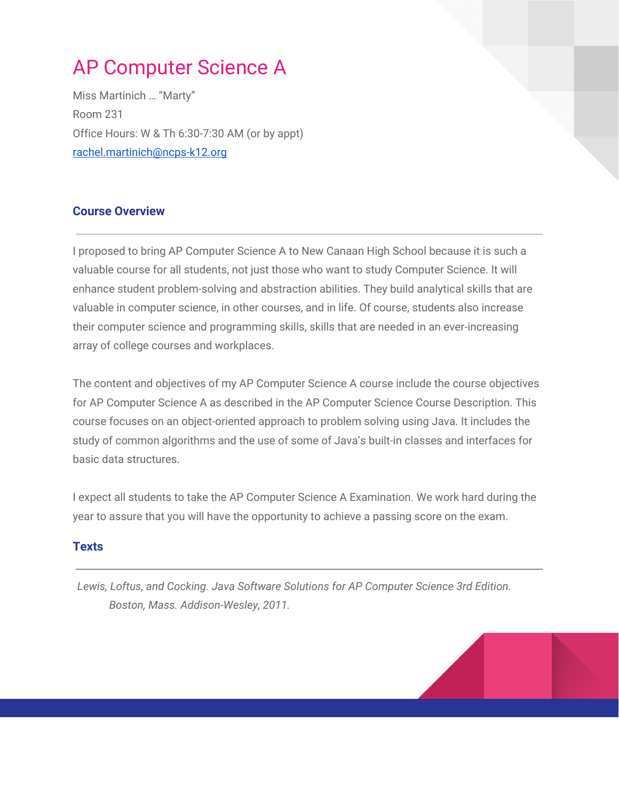# AP Computer Science A

Miss Martinich … "Marty" Room 231 Office Hours: W & Th 6:30-7:30 AM (or by appt) [rachel.martinich@ncps-k12.org](mailto:rachel.martinich@ncps-k12.org)

# **Course Overview**

I proposed to bring AP Computer Science A to New Canaan High School because it is such a valuable course for all students, not just those who want to study Computer Science. It will enhance student problem-solving and abstraction abilities. They build analytical skills that are valuable in computer science, in other courses, and in life. Of course, students also increase their computer science and programming skills, skills that are needed in an ever-increasing array of college courses and workplaces.

The content and objectives of my AP Computer Science A course include the course objectives for AP Computer Science A as described in the AP Computer Science Course Description. This course focuses on an object-oriented approach to problem solving using Java. It includes the study of common algorithms and the use of some of Java's built-in classes and interfaces for basic data structures.

I expect all students to take the AP Computer Science A Examination. We work hard during the year to assure that you will have the opportunity to achieve a passing score on the exam.

### **Texts**

*Lewis, Loftus, and Cocking. Java Software Solutions for AP Computer Science 3rd Edition. Boston, Mass. Addison-Wesley, 2011.*

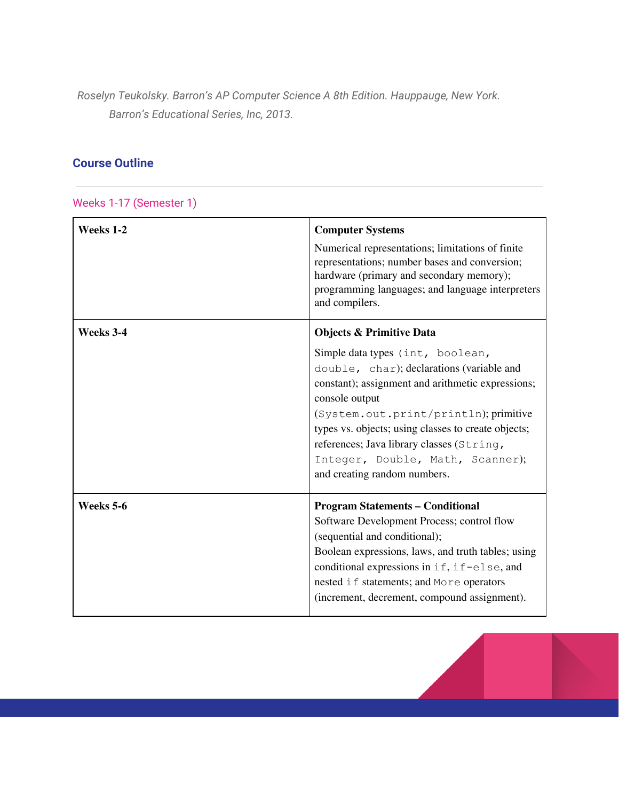*Roselyn Teukolsky. Barron's AP Computer Science A 8th Edition. Hauppauge, New York. Barron's Educational Series, Inc, 2013.*

# **Course Outline**

Weeks 1-17 (Semester 1)

| Weeks 1-2 | <b>Computer Systems</b><br>Numerical representations; limitations of finite<br>representations; number bases and conversion;<br>hardware (primary and secondary memory);<br>programming languages; and language interpreters<br>and compilers.                                                                                                                                                               |
|-----------|--------------------------------------------------------------------------------------------------------------------------------------------------------------------------------------------------------------------------------------------------------------------------------------------------------------------------------------------------------------------------------------------------------------|
| Weeks 3-4 | <b>Objects &amp; Primitive Data</b><br>Simple data types (int, boolean,<br>double, char); declarations (variable and<br>constant); assignment and arithmetic expressions;<br>console output<br>(System.out.print/println); primitive<br>types vs. objects; using classes to create objects;<br>references; Java library classes (String,<br>Integer, Double, Math, Scanner);<br>and creating random numbers. |
| Weeks 5-6 | <b>Program Statements - Conditional</b><br>Software Development Process; control flow<br>(sequential and conditional);<br>Boolean expressions, laws, and truth tables; using<br>conditional expressions in if, if-else, and<br>nested if statements; and More operators<br>(increment, decrement, compound assignment).                                                                                      |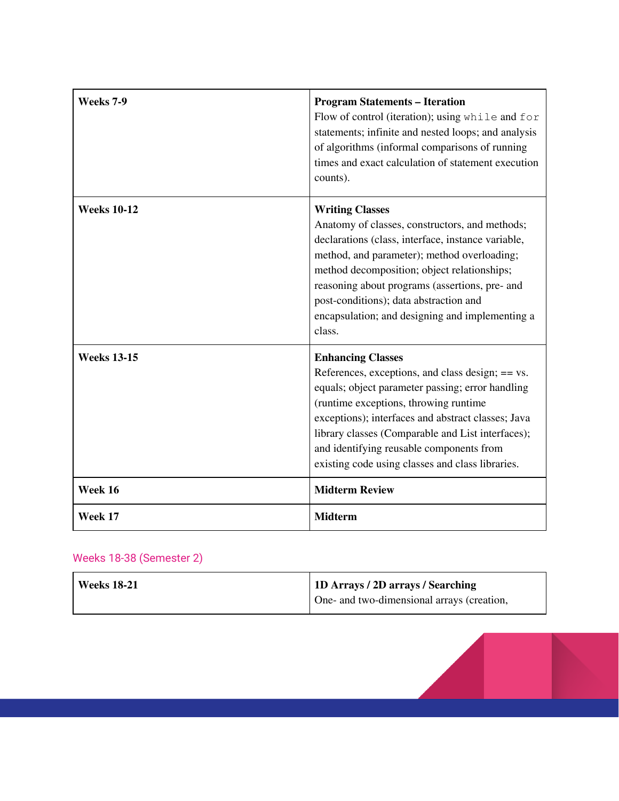| Weeks 7-9          | <b>Program Statements - Iteration</b><br>Flow of control (iteration); using while and for<br>statements; infinite and nested loops; and analysis<br>of algorithms (informal comparisons of running<br>times and exact calculation of statement execution<br>counts).                                                                                                                   |
|--------------------|----------------------------------------------------------------------------------------------------------------------------------------------------------------------------------------------------------------------------------------------------------------------------------------------------------------------------------------------------------------------------------------|
| <b>Weeks 10-12</b> | <b>Writing Classes</b><br>Anatomy of classes, constructors, and methods;<br>declarations (class, interface, instance variable,<br>method, and parameter); method overloading;<br>method decomposition; object relationships;<br>reasoning about programs (assertions, pre- and<br>post-conditions); data abstraction and<br>encapsulation; and designing and implementing a<br>class.  |
| <b>Weeks 13-15</b> | <b>Enhancing Classes</b><br>References, exceptions, and class design; $== vs.$<br>equals; object parameter passing; error handling<br>(runtime exceptions, throwing runtime<br>exceptions); interfaces and abstract classes; Java<br>library classes (Comparable and List interfaces);<br>and identifying reusable components from<br>existing code using classes and class libraries. |
| Week 16            | <b>Midterm Review</b>                                                                                                                                                                                                                                                                                                                                                                  |
| Week 17            | <b>Midterm</b>                                                                                                                                                                                                                                                                                                                                                                         |

# Weeks 18-38 (Semester 2)

| <b>Weeks 18-21</b> | 1D Arrays / 2D arrays / Searching          |
|--------------------|--------------------------------------------|
|                    | One- and two-dimensional arrays (creation, |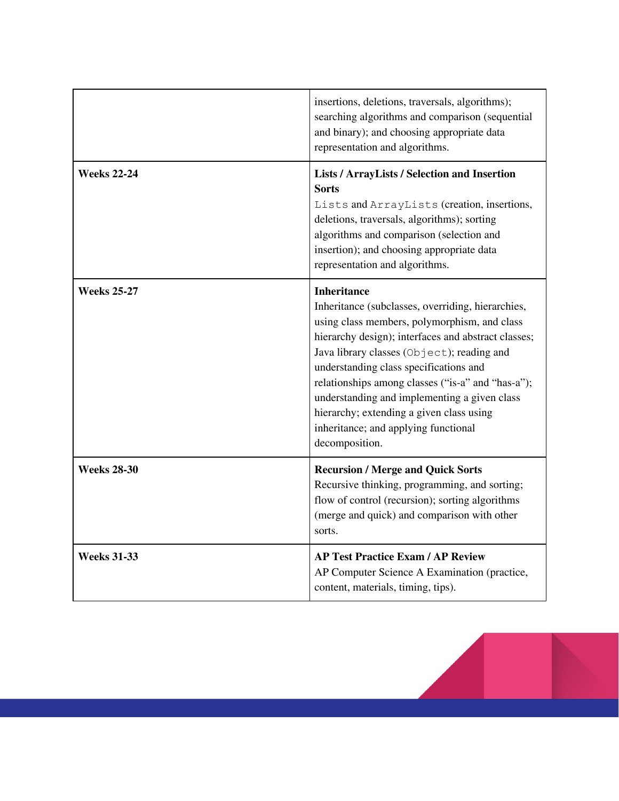|                    | insertions, deletions, traversals, algorithms);<br>searching algorithms and comparison (sequential<br>and binary); and choosing appropriate data<br>representation and algorithms.                                                                                                                                                                                                                                                                                                |
|--------------------|-----------------------------------------------------------------------------------------------------------------------------------------------------------------------------------------------------------------------------------------------------------------------------------------------------------------------------------------------------------------------------------------------------------------------------------------------------------------------------------|
| <b>Weeks 22-24</b> | <b>Lists / ArrayLists / Selection and Insertion</b><br><b>Sorts</b><br>Lists and ArrayLists (creation, insertions,<br>deletions, traversals, algorithms); sorting<br>algorithms and comparison (selection and<br>insertion); and choosing appropriate data<br>representation and algorithms.                                                                                                                                                                                      |
| <b>Weeks 25-27</b> | <b>Inheritance</b><br>Inheritance (subclasses, overriding, hierarchies,<br>using class members, polymorphism, and class<br>hierarchy design); interfaces and abstract classes;<br>Java library classes (Object); reading and<br>understanding class specifications and<br>relationships among classes ("is-a" and "has-a");<br>understanding and implementing a given class<br>hierarchy; extending a given class using<br>inheritance; and applying functional<br>decomposition. |
| <b>Weeks 28-30</b> | <b>Recursion / Merge and Quick Sorts</b><br>Recursive thinking, programming, and sorting;<br>flow of control (recursion); sorting algorithms<br>(merge and quick) and comparison with other<br>sorts.                                                                                                                                                                                                                                                                             |
| <b>Weeks 31-33</b> | <b>AP Test Practice Exam / AP Review</b><br>AP Computer Science A Examination (practice,<br>content, materials, timing, tips).                                                                                                                                                                                                                                                                                                                                                    |

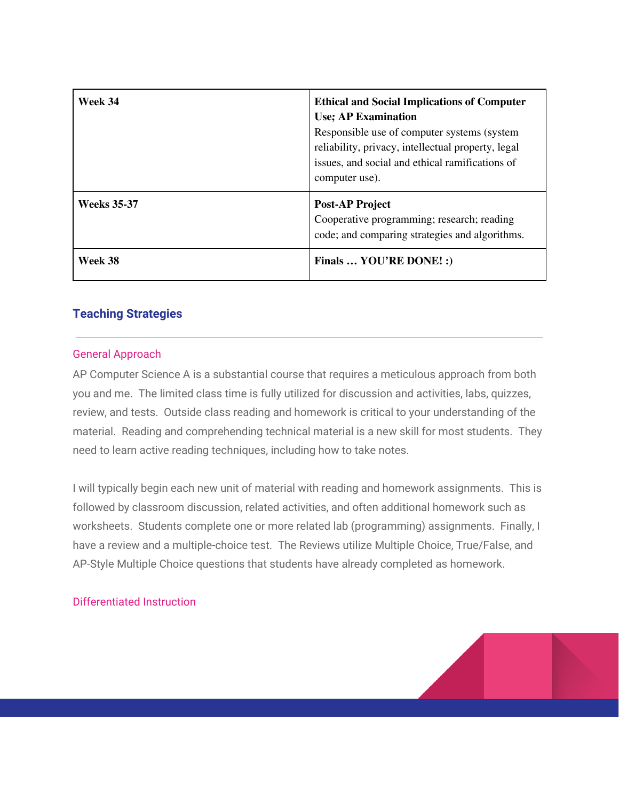| Week 34            | <b>Ethical and Social Implications of Computer</b><br><b>Use</b> ; AP Examination<br>Responsible use of computer systems (system<br>reliability, privacy, intellectual property, legal<br>issues, and social and ethical ramifications of<br>computer use). |
|--------------------|-------------------------------------------------------------------------------------------------------------------------------------------------------------------------------------------------------------------------------------------------------------|
| <b>Weeks</b> 35-37 | <b>Post-AP Project</b><br>Cooperative programming; research; reading<br>code; and comparing strategies and algorithms.                                                                                                                                      |
| Week 38            | Finals  YOU'RE DONE! :)                                                                                                                                                                                                                                     |

## **Teaching Strategies**

#### General Approach

AP Computer Science A is a substantial course that requires a meticulous approach from both you and me. The limited class time is fully utilized for discussion and activities, labs, quizzes, review, and tests. Outside class reading and homework is critical to your understanding of the material. Reading and comprehending technical material is a new skill for most students. They need to learn active reading techniques, including how to take notes.

I will typically begin each new unit of material with reading and homework assignments. This is followed by classroom discussion, related activities, and often additional homework such as worksheets. Students complete one or more related lab (programming) assignments. Finally, I have a review and a multiple-choice test. The Reviews utilize Multiple Choice, True/False, and AP-Style Multiple Choice questions that students have already completed as homework.

#### Differentiated Instruction

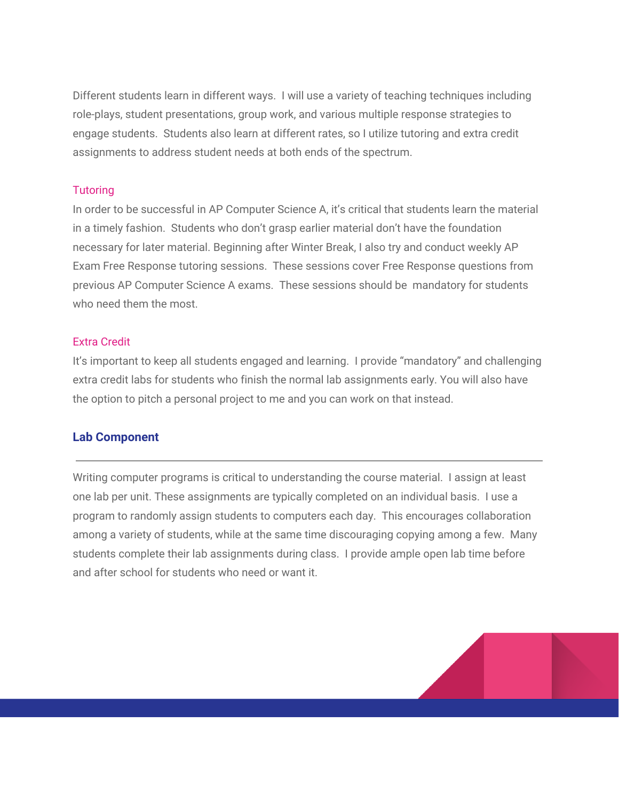Different students learn in different ways. I will use a variety of teaching techniques including role-plays, student presentations, group work, and various multiple response strategies to engage students. Students also learn at different rates, so I utilize tutoring and extra credit assignments to address student needs at both ends of the spectrum.

#### **Tutoring**

In order to be successful in AP Computer Science A, it's critical that students learn the material in a timely fashion. Students who don't grasp earlier material don't have the foundation necessary for later material. Beginning after Winter Break, I also try and conduct weekly AP Exam Free Response tutoring sessions. These sessions cover Free Response questions from previous AP Computer Science A exams. These sessions should be mandatory for students who need them the most.

#### Extra Credit

It's important to keep all students engaged and learning. I provide "mandatory" and challenging extra credit labs for students who finish the normal lab assignments early. You will also have the option to pitch a personal project to me and you can work on that instead.

#### **Lab Component**

Writing computer programs is critical to understanding the course material. I assign at least one lab per unit. These assignments are typically completed on an individual basis. I use a program to randomly assign students to computers each day. This encourages collaboration among a variety of students, while at the same time discouraging copying among a few. Many students complete their lab assignments during class. I provide ample open lab time before and after school for students who need or want it.